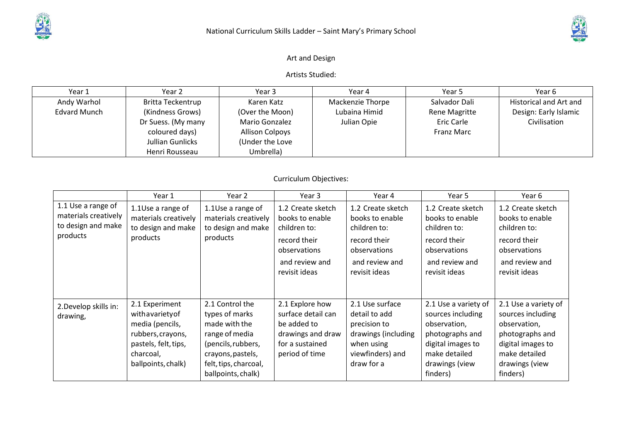

## Art and Design

Artists Studied:

| Year 1              | Year 2                   | Year 3                 | Year 4           | Year 5            | Year 6                 |
|---------------------|--------------------------|------------------------|------------------|-------------------|------------------------|
| Andy Warhol         | <b>Britta Teckentrup</b> | Karen Katz             | Mackenzie Thorpe | Salvador Dali     | Historical and Art and |
| <b>Edvard Munch</b> | (Kindness Grows)         | (Over the Moon)        | Lubaina Himid    | Rene Magritte     | Design: Early Islamic  |
|                     | Dr Suess. (My many       | Mario Gonzalez         | Julian Opie      | Eric Carle        | Civilisation           |
|                     | coloured days)           | <b>Allison Colpoys</b> |                  | <b>Franz Marc</b> |                        |
|                     | Jullian Gunlicks         | (Under the Love        |                  |                   |                        |
|                     | Henri Rousseau           | Umbrella)              |                  |                   |                        |

## Curriculum Objectives:

|                                                                              | Year 1                                                                                                                               | Year 2                                                                                                                                                         | Year 3                                                                                                         | Year 4                                                                                                                  | Year 5                                                                                                                                           | Year 6                                                                                                                                           |
|------------------------------------------------------------------------------|--------------------------------------------------------------------------------------------------------------------------------------|----------------------------------------------------------------------------------------------------------------------------------------------------------------|----------------------------------------------------------------------------------------------------------------|-------------------------------------------------------------------------------------------------------------------------|--------------------------------------------------------------------------------------------------------------------------------------------------|--------------------------------------------------------------------------------------------------------------------------------------------------|
| 1.1 Use a range of<br>materials creatively<br>to design and make<br>products | 1.1Use a range of<br>materials creatively<br>to design and make<br>products                                                          | 1.1Use a range of<br>materials creatively<br>to design and make<br>products                                                                                    | 1.2 Create sketch<br>books to enable<br>children to:<br>record their<br>observations                           | 1.2 Create sketch<br>books to enable<br>children to:<br>record their<br>observations                                    | 1.2 Create sketch<br>books to enable<br>children to:<br>record their<br>observations                                                             | 1.2 Create sketch<br>books to enable<br>children to:<br>record their<br>observations                                                             |
|                                                                              |                                                                                                                                      |                                                                                                                                                                | and review and<br>revisit ideas                                                                                | and review and<br>revisit ideas                                                                                         | and review and<br>revisit ideas                                                                                                                  | and review and<br>revisit ideas                                                                                                                  |
| 2. Develop skills in:<br>drawing,                                            | 2.1 Experiment<br>withavariety of<br>media (pencils,<br>rubbers, crayons,<br>pastels, felt, tips,<br>charcoal,<br>ballpoints, chalk) | 2.1 Control the<br>types of marks<br>made with the<br>range of media<br>(pencils, rubbers,<br>crayons, pastels,<br>felt, tips, charcoal,<br>ballpoints, chalk) | 2.1 Explore how<br>surface detail can<br>be added to<br>drawings and draw<br>for a sustained<br>period of time | 2.1 Use surface<br>detail to add<br>precision to<br>drawings (including<br>when using<br>viewfinders) and<br>draw for a | 2.1 Use a variety of<br>sources including<br>observation,<br>photographs and<br>digital images to<br>make detailed<br>drawings (view<br>finders) | 2.1 Use a variety of<br>sources including<br>observation,<br>photographs and<br>digital images to<br>make detailed<br>drawings (view<br>finders) |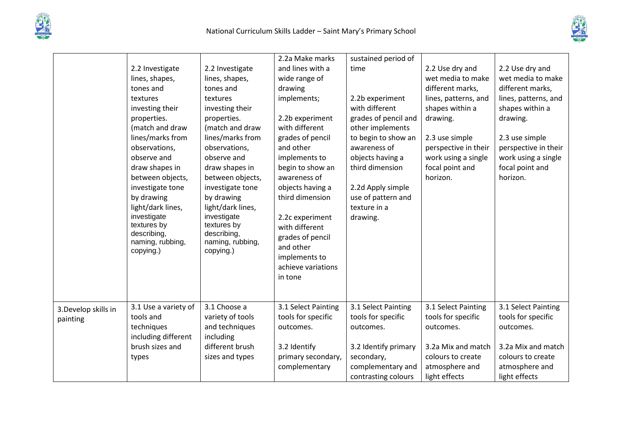



|                                  | 2.2 Investigate                                                                                 | 2.2 Investigate                                                                                 | 2.2a Make marks<br>and lines with a                                                                                  | sustained period of<br>time                                                    | 2.2 Use dry and                                                            | 2.2 Use dry and                                                            |
|----------------------------------|-------------------------------------------------------------------------------------------------|-------------------------------------------------------------------------------------------------|----------------------------------------------------------------------------------------------------------------------|--------------------------------------------------------------------------------|----------------------------------------------------------------------------|----------------------------------------------------------------------------|
|                                  | lines, shapes,<br>tones and                                                                     | lines, shapes,<br>tones and                                                                     | wide range of<br>drawing                                                                                             |                                                                                | wet media to make<br>different marks,                                      | wet media to make<br>different marks,                                      |
|                                  | textures<br>investing their<br>properties.                                                      | textures<br>investing their<br>properties.                                                      | implements;<br>2.2b experiment                                                                                       | 2.2b experiment<br>with different<br>grades of pencil and                      | lines, patterns, and<br>shapes within a<br>drawing.                        | lines, patterns, and<br>shapes within a<br>drawing.                        |
|                                  | (match and draw<br>lines/marks from                                                             | (match and draw<br>lines/marks from                                                             | with different<br>grades of pencil                                                                                   | other implements<br>to begin to show an                                        | 2.3 use simple                                                             | 2.3 use simple                                                             |
|                                  | observations,<br>observe and                                                                    | observations,<br>observe and                                                                    | and other<br>implements to                                                                                           | awareness of<br>objects having a                                               | perspective in their<br>work using a single                                | perspective in their<br>work using a single                                |
|                                  | draw shapes in<br>between objects,                                                              | draw shapes in<br>between objects,                                                              | begin to show an<br>awareness of                                                                                     | third dimension                                                                | focal point and<br>horizon.                                                | focal point and<br>horizon.                                                |
|                                  | investigate tone<br>by drawing                                                                  | investigate tone<br>by drawing                                                                  | objects having a<br>third dimension                                                                                  | 2.2d Apply simple<br>use of pattern and                                        |                                                                            |                                                                            |
|                                  | light/dark lines,<br>investigate<br>textures by<br>describing,<br>naming, rubbing,<br>copying.) | light/dark lines,<br>investigate<br>textures by<br>describing,<br>naming, rubbing,<br>copying.) | 2.2c experiment<br>with different<br>grades of pencil<br>and other<br>implements to<br>achieve variations<br>in tone | texture in a<br>drawing.                                                       |                                                                            |                                                                            |
| 3. Develop skills in<br>painting | 3.1 Use a variety of<br>tools and<br>techniques<br>including different                          | 3.1 Choose a<br>variety of tools<br>and techniques<br>including                                 | 3.1 Select Painting<br>tools for specific<br>outcomes.                                                               | 3.1 Select Painting<br>tools for specific<br>outcomes.                         | 3.1 Select Painting<br>tools for specific<br>outcomes.                     | 3.1 Select Painting<br>tools for specific<br>outcomes.                     |
|                                  | brush sizes and<br>types                                                                        | different brush<br>sizes and types                                                              | 3.2 Identify<br>primary secondary,<br>complementary                                                                  | 3.2 Identify primary<br>secondary,<br>complementary and<br>contrasting colours | 3.2a Mix and match<br>colours to create<br>atmosphere and<br>light effects | 3.2a Mix and match<br>colours to create<br>atmosphere and<br>light effects |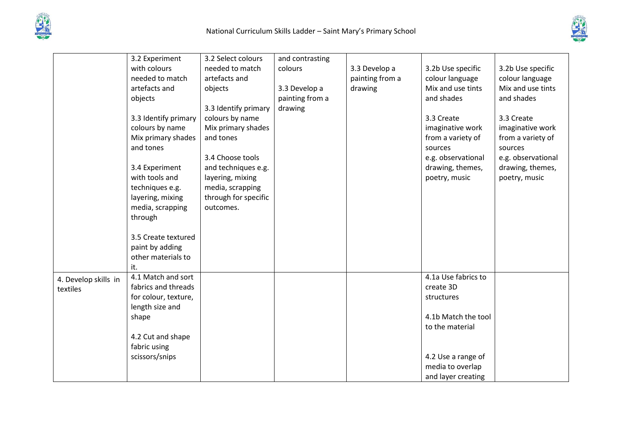



|                      | 3.2 Experiment       | 3.2 Select colours   | and contrasting |                 |                     |                    |
|----------------------|----------------------|----------------------|-----------------|-----------------|---------------------|--------------------|
|                      | with colours         | needed to match      | colours         | 3.3 Develop a   | 3.2b Use specific   | 3.2b Use specific  |
|                      | needed to match      | artefacts and        |                 | painting from a | colour language     | colour language    |
|                      | artefacts and        | objects              | 3.3 Develop a   | drawing         | Mix and use tints   | Mix and use tints  |
|                      | objects              |                      | painting from a |                 | and shades          | and shades         |
|                      |                      | 3.3 Identify primary | drawing         |                 |                     |                    |
|                      | 3.3 Identify primary | colours by name      |                 |                 | 3.3 Create          | 3.3 Create         |
|                      | colours by name      | Mix primary shades   |                 |                 | imaginative work    | imaginative work   |
|                      | Mix primary shades   | and tones            |                 |                 | from a variety of   | from a variety of  |
|                      | and tones            |                      |                 |                 | sources             | sources            |
|                      |                      | 3.4 Choose tools     |                 |                 | e.g. observational  | e.g. observational |
|                      | 3.4 Experiment       | and techniques e.g.  |                 |                 | drawing, themes,    | drawing, themes,   |
|                      | with tools and       | layering, mixing     |                 |                 | poetry, music       | poetry, music      |
|                      | techniques e.g.      | media, scrapping     |                 |                 |                     |                    |
|                      | layering, mixing     | through for specific |                 |                 |                     |                    |
|                      | media, scrapping     | outcomes.            |                 |                 |                     |                    |
|                      | through              |                      |                 |                 |                     |                    |
|                      |                      |                      |                 |                 |                     |                    |
|                      | 3.5 Create textured  |                      |                 |                 |                     |                    |
|                      | paint by adding      |                      |                 |                 |                     |                    |
|                      | other materials to   |                      |                 |                 |                     |                    |
|                      | it.                  |                      |                 |                 |                     |                    |
| 4. Develop skills in | 4.1 Match and sort   |                      |                 |                 | 4.1a Use fabrics to |                    |
| textiles             | fabrics and threads  |                      |                 |                 | create 3D           |                    |
|                      | for colour, texture, |                      |                 |                 | structures          |                    |
|                      | length size and      |                      |                 |                 |                     |                    |
|                      | shape                |                      |                 |                 | 4.1b Match the tool |                    |
|                      |                      |                      |                 |                 | to the material     |                    |
|                      | 4.2 Cut and shape    |                      |                 |                 |                     |                    |
|                      | fabric using         |                      |                 |                 |                     |                    |
|                      | scissors/snips       |                      |                 |                 | 4.2 Use a range of  |                    |
|                      |                      |                      |                 |                 | media to overlap    |                    |
|                      |                      |                      |                 |                 | and layer creating  |                    |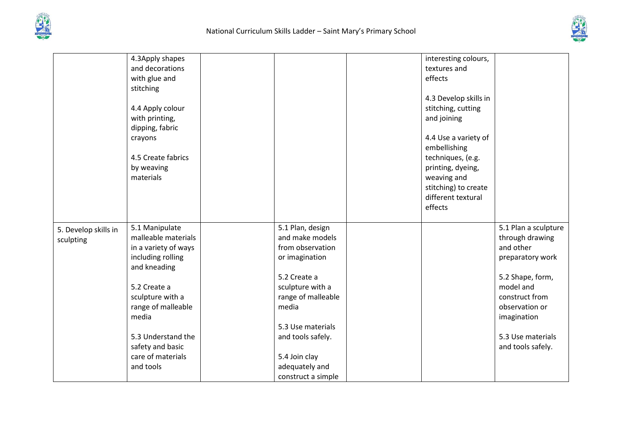



|                                   | 4.3Apply shapes<br>and decorations<br>with glue and<br>stitching<br>4.4 Apply colour<br>with printing,<br>dipping, fabric<br>crayons<br>4.5 Create fabrics<br>by weaving<br>materials                                                             |                                                                                                                                                                                                                                                 | interesting colours,<br>textures and<br>effects<br>4.3 Develop skills in<br>stitching, cutting<br>and joining<br>4.4 Use a variety of<br>embellishing<br>techniques, (e.g.<br>printing, dyeing,<br>weaving and<br>stitching) to create<br>different textural<br>effects |                                                                                                                                                                                                        |
|-----------------------------------|---------------------------------------------------------------------------------------------------------------------------------------------------------------------------------------------------------------------------------------------------|-------------------------------------------------------------------------------------------------------------------------------------------------------------------------------------------------------------------------------------------------|-------------------------------------------------------------------------------------------------------------------------------------------------------------------------------------------------------------------------------------------------------------------------|--------------------------------------------------------------------------------------------------------------------------------------------------------------------------------------------------------|
| 5. Develop skills in<br>sculpting | 5.1 Manipulate<br>malleable materials<br>in a variety of ways<br>including rolling<br>and kneading<br>5.2 Create a<br>sculpture with a<br>range of malleable<br>media<br>5.3 Understand the<br>safety and basic<br>care of materials<br>and tools | 5.1 Plan, design<br>and make models<br>from observation<br>or imagination<br>5.2 Create a<br>sculpture with a<br>range of malleable<br>media<br>5.3 Use materials<br>and tools safely.<br>5.4 Join clay<br>adequately and<br>construct a simple |                                                                                                                                                                                                                                                                         | 5.1 Plan a sculpture<br>through drawing<br>and other<br>preparatory work<br>5.2 Shape, form,<br>model and<br>construct from<br>observation or<br>imagination<br>5.3 Use materials<br>and tools safely. |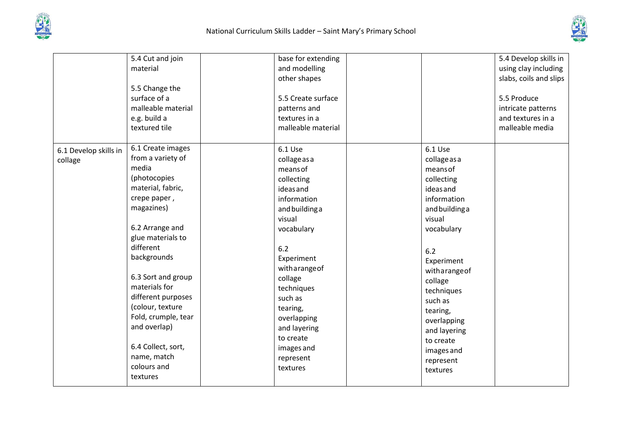



|                       | 5.4 Cut and join    | base for extending |                | 5.4 Develop skills in  |
|-----------------------|---------------------|--------------------|----------------|------------------------|
|                       | material            | and modelling      |                | using clay including   |
|                       |                     | other shapes       |                | slabs, coils and slips |
|                       | 5.5 Change the      |                    |                |                        |
|                       | surface of a        | 5.5 Create surface |                | 5.5 Produce            |
|                       | malleable material  | patterns and       |                | intricate patterns     |
|                       | e.g. build a        | textures in a      |                | and textures in a      |
|                       | textured tile       | malleable material |                | malleable media        |
| 6.1 Develop skills in | 6.1 Create images   | 6.1 Use            | 6.1 Use        |                        |
| collage               | from a variety of   | collage as a       | collage as a   |                        |
|                       | media               | means of           | means of       |                        |
|                       | (photocopies        | collecting         | collecting     |                        |
|                       | material, fabric,   | ideasand           | ideasand       |                        |
|                       | crepe paper,        | information        | information    |                        |
|                       | magazines)          | and building a     | and building a |                        |
|                       |                     | visual             | visual         |                        |
|                       | 6.2 Arrange and     | vocabulary         | vocabulary     |                        |
|                       | glue materials to   |                    |                |                        |
|                       | different           | 6.2                | 6.2            |                        |
|                       | backgrounds         | Experiment         | Experiment     |                        |
|                       |                     | witharangeof       | witharangeof   |                        |
|                       | 6.3 Sort and group  | collage            | collage        |                        |
|                       | materials for       | techniques         | techniques     |                        |
|                       | different purposes  | such as            | such as        |                        |
|                       | (colour, texture    | tearing,           | tearing,       |                        |
|                       | Fold, crumple, tear | overlapping        | overlapping    |                        |
|                       | and overlap)        | and layering       | and layering   |                        |
|                       |                     | to create          | to create      |                        |
|                       | 6.4 Collect, sort,  | images and         | images and     |                        |
|                       | name, match         | represent          | represent      |                        |
|                       | colours and         | textures           | textures       |                        |
|                       | textures            |                    |                |                        |